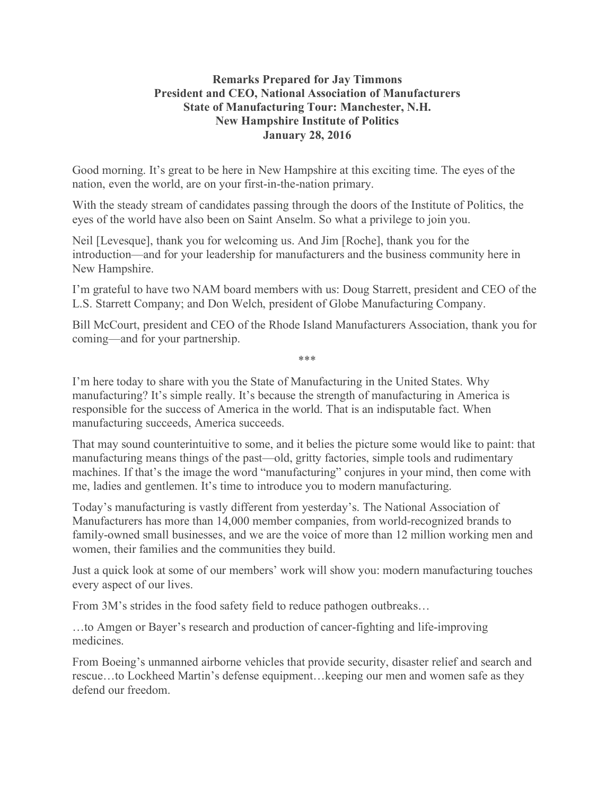## **Remarks Prepared for Jay Timmons President and CEO, National Association of Manufacturers State of Manufacturing Tour: Manchester, N.H. New Hampshire Institute of Politics January 28, 2016**

Good morning. It's great to be here in New Hampshire at this exciting time. The eyes of the nation, even the world, are on your first-in-the-nation primary.

With the steady stream of candidates passing through the doors of the Institute of Politics, the eyes of the world have also been on Saint Anselm. So what a privilege to join you.

Neil [Levesque], thank you for welcoming us. And Jim [Roche], thank you for the introduction—and for your leadership for manufacturers and the business community here in New Hampshire.

I'm grateful to have two NAM board members with us: Doug Starrett, president and CEO of the L.S. Starrett Company; and Don Welch, president of Globe Manufacturing Company.

Bill McCourt, president and CEO of the Rhode Island Manufacturers Association, thank you for coming—and for your partnership.

\*\*\*

I'm here today to share with you the State of Manufacturing in the United States. Why manufacturing? It's simple really. It's because the strength of manufacturing in America is responsible for the success of America in the world. That is an indisputable fact. When manufacturing succeeds, America succeeds.

That may sound counterintuitive to some, and it belies the picture some would like to paint: that manufacturing means things of the past—old, gritty factories, simple tools and rudimentary machines. If that's the image the word "manufacturing" conjures in your mind, then come with me, ladies and gentlemen. It's time to introduce you to modern manufacturing.

Today's manufacturing is vastly different from yesterday's. The National Association of Manufacturers has more than 14,000 member companies, from world-recognized brands to family-owned small businesses, and we are the voice of more than 12 million working men and women, their families and the communities they build.

Just a quick look at some of our members' work will show you: modern manufacturing touches every aspect of our lives.

From 3M's strides in the food safety field to reduce pathogen outbreaks…

…to Amgen or Bayer's research and production of cancer-fighting and life-improving medicines.

From Boeing's unmanned airborne vehicles that provide security, disaster relief and search and rescue…to Lockheed Martin's defense equipment…keeping our men and women safe as they defend our freedom.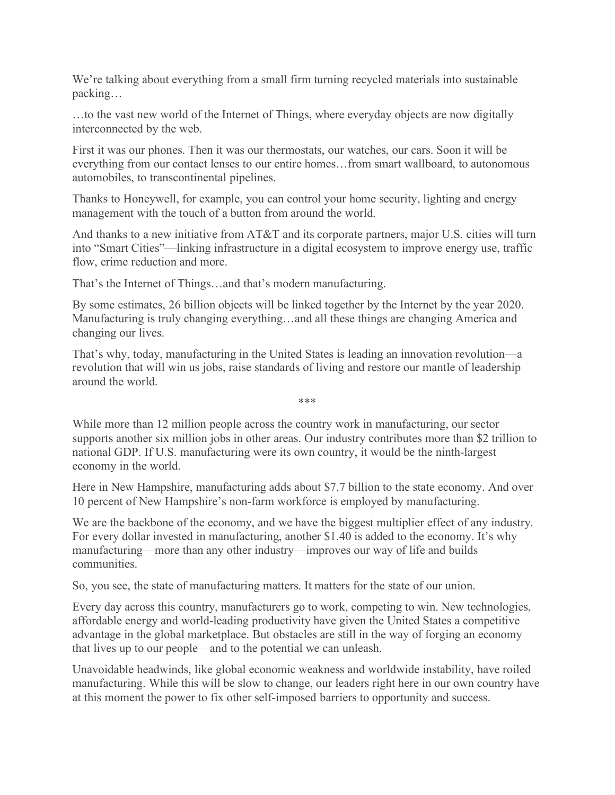We're talking about everything from a small firm turning recycled materials into sustainable packing…

…to the vast new world of the Internet of Things, where everyday objects are now digitally interconnected by the web.

First it was our phones. Then it was our thermostats, our watches, our cars. Soon it will be everything from our contact lenses to our entire homes…from smart wallboard, to autonomous automobiles, to transcontinental pipelines.

Thanks to Honeywell, for example, you can control your home security, lighting and energy management with the touch of a button from around the world.

And thanks to a new initiative from AT&T and its corporate partners, major U.S. cities will turn into "Smart Cities"—linking infrastructure in a digital ecosystem to improve energy use, traffic flow, crime reduction and more.

That's the Internet of Things…and that's modern manufacturing.

By some estimates, 26 billion objects will be linked together by the Internet by the year 2020. Manufacturing is truly changing everything…and all these things are changing America and changing our lives.

That's why, today, manufacturing in the United States is leading an innovation revolution—a revolution that will win us jobs, raise standards of living and restore our mantle of leadership around the world.

While more than 12 million people across the country work in manufacturing, our sector supports another six million jobs in other areas. Our industry contributes more than \$2 trillion to national GDP. If U.S. manufacturing were its own country, it would be the ninth-largest economy in the world.

\*\*\*

Here in New Hampshire, manufacturing adds about \$7.7 billion to the state economy. And over 10 percent of New Hampshire's non-farm workforce is employed by manufacturing.

We are the backbone of the economy, and we have the biggest multiplier effect of any industry. For every dollar invested in manufacturing, another \$1.40 is added to the economy. It's why manufacturing—more than any other industry—improves our way of life and builds communities.

So, you see, the state of manufacturing matters. It matters for the state of our union.

Every day across this country, manufacturers go to work, competing to win. New technologies, affordable energy and world-leading productivity have given the United States a competitive advantage in the global marketplace. But obstacles are still in the way of forging an economy that lives up to our people—and to the potential we can unleash.

Unavoidable headwinds, like global economic weakness and worldwide instability, have roiled manufacturing. While this will be slow to change, our leaders right here in our own country have at this moment the power to fix other self-imposed barriers to opportunity and success.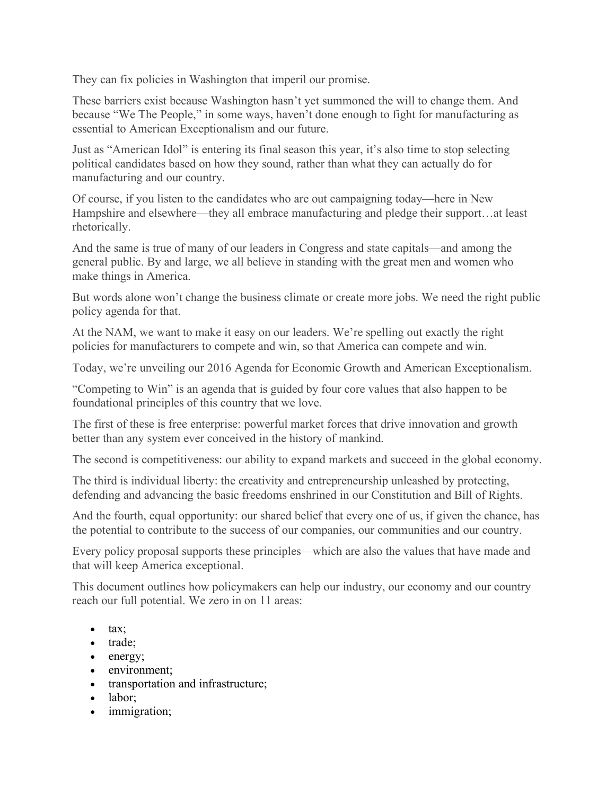They can fix policies in Washington that imperil our promise.

These barriers exist because Washington hasn't yet summoned the will to change them. And because "We The People," in some ways, haven't done enough to fight for manufacturing as essential to American Exceptionalism and our future.

Just as "American Idol" is entering its final season this year, it's also time to stop selecting political candidates based on how they sound, rather than what they can actually do for manufacturing and our country.

Of course, if you listen to the candidates who are out campaigning today—here in New Hampshire and elsewhere—they all embrace manufacturing and pledge their support…at least rhetorically.

And the same is true of many of our leaders in Congress and state capitals—and among the general public. By and large, we all believe in standing with the great men and women who make things in America.

But words alone won't change the business climate or create more jobs. We need the right public policy agenda for that.

At the NAM, we want to make it easy on our leaders. We're spelling out exactly the right policies for manufacturers to compete and win, so that America can compete and win.

Today, we're unveiling our 2016 Agenda for Economic Growth and American Exceptionalism.

"Competing to Win" is an agenda that is guided by four core values that also happen to be foundational principles of this country that we love.

The first of these is free enterprise: powerful market forces that drive innovation and growth better than any system ever conceived in the history of mankind.

The second is competitiveness: our ability to expand markets and succeed in the global economy.

The third is individual liberty: the creativity and entrepreneurship unleashed by protecting, defending and advancing the basic freedoms enshrined in our Constitution and Bill of Rights.

And the fourth, equal opportunity: our shared belief that every one of us, if given the chance, has the potential to contribute to the success of our companies, our communities and our country.

Every policy proposal supports these principles—which are also the values that have made and that will keep America exceptional.

This document outlines how policymakers can help our industry, our economy and our country reach our full potential. We zero in on 11 areas:

- tax;
- trade;
- energy;
- environment:
- transportation and infrastructure;
- labor:
- immigration;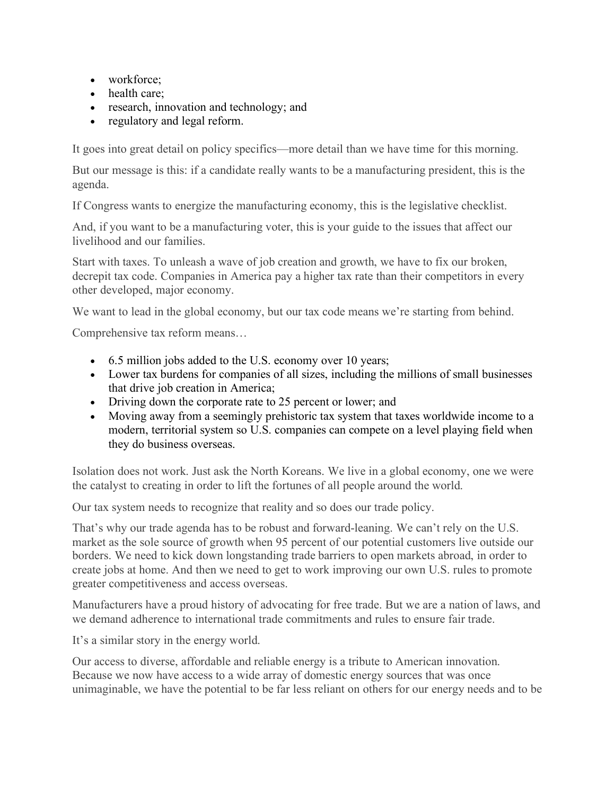- workforce;
- health care;
- research, innovation and technology; and
- regulatory and legal reform.

It goes into great detail on policy specifics—more detail than we have time for this morning.

But our message is this: if a candidate really wants to be a manufacturing president, this is the agenda.

If Congress wants to energize the manufacturing economy, this is the legislative checklist.

And, if you want to be a manufacturing voter, this is your guide to the issues that affect our livelihood and our families.

Start with taxes. To unleash a wave of job creation and growth, we have to fix our broken, decrepit tax code. Companies in America pay a higher tax rate than their competitors in every other developed, major economy.

We want to lead in the global economy, but our tax code means we're starting from behind.

Comprehensive tax reform means…

- 6.5 million jobs added to the U.S. economy over 10 years;
- Lower tax burdens for companies of all sizes, including the millions of small businesses that drive job creation in America;
- Driving down the corporate rate to 25 percent or lower; and
- Moving away from a seemingly prehistoric tax system that taxes worldwide income to a modern, territorial system so U.S. companies can compete on a level playing field when they do business overseas.

Isolation does not work. Just ask the North Koreans. We live in a global economy, one we were the catalyst to creating in order to lift the fortunes of all people around the world.

Our tax system needs to recognize that reality and so does our trade policy.

That's why our trade agenda has to be robust and forward-leaning. We can't rely on the U.S. market as the sole source of growth when 95 percent of our potential customers live outside our borders. We need to kick down longstanding trade barriers to open markets abroad, in order to create jobs at home. And then we need to get to work improving our own U.S. rules to promote greater competitiveness and access overseas.

Manufacturers have a proud history of advocating for free trade. But we are a nation of laws, and we demand adherence to international trade commitments and rules to ensure fair trade.

It's a similar story in the energy world.

Our access to diverse, affordable and reliable energy is a tribute to American innovation. Because we now have access to a wide array of domestic energy sources that was once unimaginable, we have the potential to be far less reliant on others for our energy needs and to be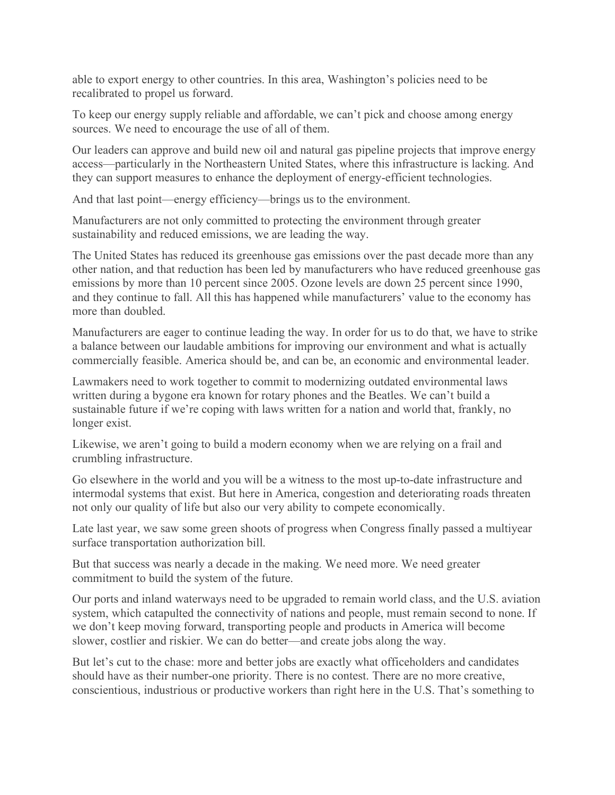able to export energy to other countries. In this area, Washington's policies need to be recalibrated to propel us forward.

To keep our energy supply reliable and affordable, we can't pick and choose among energy sources. We need to encourage the use of all of them.

Our leaders can approve and build new oil and natural gas pipeline projects that improve energy access—particularly in the Northeastern United States, where this infrastructure is lacking. And they can support measures to enhance the deployment of energy-efficient technologies.

And that last point—energy efficiency—brings us to the environment.

Manufacturers are not only committed to protecting the environment through greater sustainability and reduced emissions, we are leading the way.

The United States has reduced its greenhouse gas emissions over the past decade more than any other nation, and that reduction has been led by manufacturers who have reduced greenhouse gas emissions by more than 10 percent since 2005. Ozone levels are down 25 percent since 1990, and they continue to fall. All this has happened while manufacturers' value to the economy has more than doubled.

Manufacturers are eager to continue leading the way. In order for us to do that, we have to strike a balance between our laudable ambitions for improving our environment and what is actually commercially feasible. America should be, and can be, an economic and environmental leader.

Lawmakers need to work together to commit to modernizing outdated environmental laws written during a bygone era known for rotary phones and the Beatles. We can't build a sustainable future if we're coping with laws written for a nation and world that, frankly, no longer exist.

Likewise, we aren't going to build a modern economy when we are relying on a frail and crumbling infrastructure.

Go elsewhere in the world and you will be a witness to the most up-to-date infrastructure and intermodal systems that exist. But here in America, congestion and deteriorating roads threaten not only our quality of life but also our very ability to compete economically.

Late last year, we saw some green shoots of progress when Congress finally passed a multiyear surface transportation authorization bill.

But that success was nearly a decade in the making. We need more. We need greater commitment to build the system of the future.

Our ports and inland waterways need to be upgraded to remain world class, and the U.S. aviation system, which catapulted the connectivity of nations and people, must remain second to none. If we don't keep moving forward, transporting people and products in America will become slower, costlier and riskier. We can do better—and create jobs along the way.

But let's cut to the chase: more and better jobs are exactly what officeholders and candidates should have as their number-one priority. There is no contest. There are no more creative, conscientious, industrious or productive workers than right here in the U.S. That's something to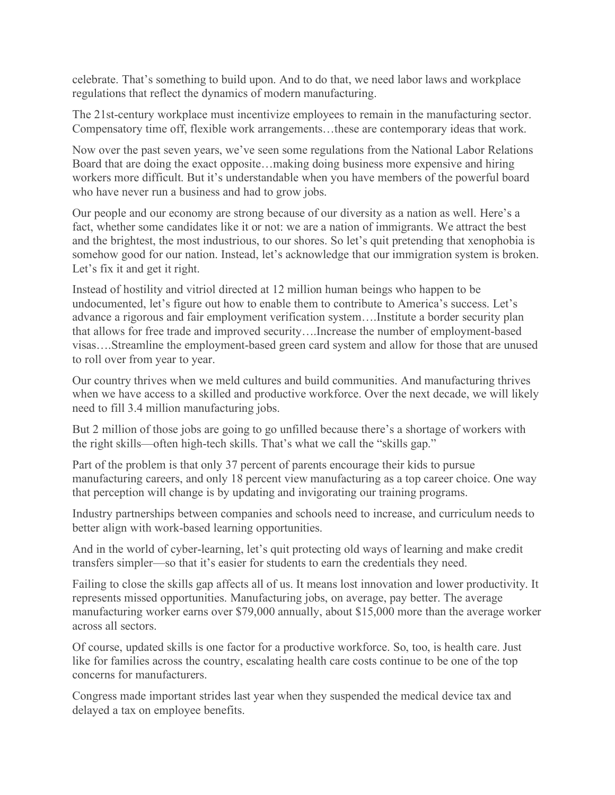celebrate. That's something to build upon. And to do that, we need labor laws and workplace regulations that reflect the dynamics of modern manufacturing.

The 21st-century workplace must incentivize employees to remain in the manufacturing sector. Compensatory time off, flexible work arrangements…these are contemporary ideas that work.

Now over the past seven years, we've seen some regulations from the National Labor Relations Board that are doing the exact opposite…making doing business more expensive and hiring workers more difficult. But it's understandable when you have members of the powerful board who have never run a business and had to grow jobs.

Our people and our economy are strong because of our diversity as a nation as well. Here's a fact, whether some candidates like it or not: we are a nation of immigrants. We attract the best and the brightest, the most industrious, to our shores. So let's quit pretending that xenophobia is somehow good for our nation. Instead, let's acknowledge that our immigration system is broken. Let's fix it and get it right.

Instead of hostility and vitriol directed at 12 million human beings who happen to be undocumented, let's figure out how to enable them to contribute to America's success. Let's advance a rigorous and fair employment verification system….Institute a border security plan that allows for free trade and improved security….Increase the number of employment-based visas….Streamline the employment-based green card system and allow for those that are unused to roll over from year to year.

Our country thrives when we meld cultures and build communities. And manufacturing thrives when we have access to a skilled and productive workforce. Over the next decade, we will likely need to fill 3.4 million manufacturing jobs.

But 2 million of those jobs are going to go unfilled because there's a shortage of workers with the right skills—often high-tech skills. That's what we call the "skills gap."

Part of the problem is that only 37 percent of parents encourage their kids to pursue manufacturing careers, and only 18 percent view manufacturing as a top career choice. One way that perception will change is by updating and invigorating our training programs.

Industry partnerships between companies and schools need to increase, and curriculum needs to better align with work-based learning opportunities.

And in the world of cyber-learning, let's quit protecting old ways of learning and make credit transfers simpler—so that it's easier for students to earn the credentials they need.

Failing to close the skills gap affects all of us. It means lost innovation and lower productivity. It represents missed opportunities. Manufacturing jobs, on average, pay better. The average manufacturing worker earns over \$79,000 annually, about \$15,000 more than the average worker across all sectors.

Of course, updated skills is one factor for a productive workforce. So, too, is health care. Just like for families across the country, escalating health care costs continue to be one of the top concerns for manufacturers.

Congress made important strides last year when they suspended the medical device tax and delayed a tax on employee benefits.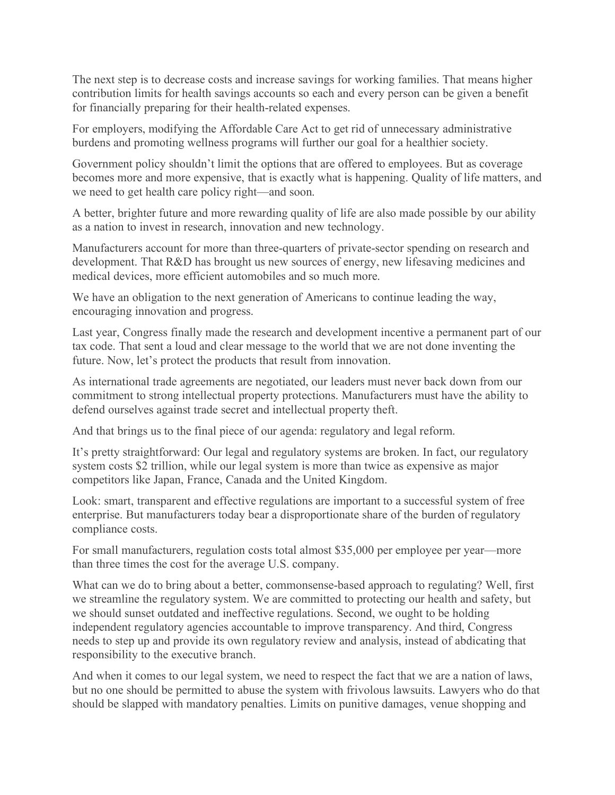The next step is to decrease costs and increase savings for working families. That means higher contribution limits for health savings accounts so each and every person can be given a benefit for financially preparing for their health-related expenses.

For employers, modifying the Affordable Care Act to get rid of unnecessary administrative burdens and promoting wellness programs will further our goal for a healthier society.

Government policy shouldn't limit the options that are offered to employees. But as coverage becomes more and more expensive, that is exactly what is happening. Quality of life matters, and we need to get health care policy right—and soon.

A better, brighter future and more rewarding quality of life are also made possible by our ability as a nation to invest in research, innovation and new technology.

Manufacturers account for more than three-quarters of private-sector spending on research and development. That R&D has brought us new sources of energy, new lifesaving medicines and medical devices, more efficient automobiles and so much more.

We have an obligation to the next generation of Americans to continue leading the way, encouraging innovation and progress.

Last year, Congress finally made the research and development incentive a permanent part of our tax code. That sent a loud and clear message to the world that we are not done inventing the future. Now, let's protect the products that result from innovation.

As international trade agreements are negotiated, our leaders must never back down from our commitment to strong intellectual property protections. Manufacturers must have the ability to defend ourselves against trade secret and intellectual property theft.

And that brings us to the final piece of our agenda: regulatory and legal reform.

It's pretty straightforward: Our legal and regulatory systems are broken. In fact, our regulatory system costs \$2 trillion, while our legal system is more than twice as expensive as major competitors like Japan, France, Canada and the United Kingdom.

Look: smart, transparent and effective regulations are important to a successful system of free enterprise. But manufacturers today bear a disproportionate share of the burden of regulatory compliance costs.

For small manufacturers, regulation costs total almost \$35,000 per employee per year—more than three times the cost for the average U.S. company.

What can we do to bring about a better, commonsense-based approach to regulating? Well, first we streamline the regulatory system. We are committed to protecting our health and safety, but we should sunset outdated and ineffective regulations. Second, we ought to be holding independent regulatory agencies accountable to improve transparency. And third, Congress needs to step up and provide its own regulatory review and analysis, instead of abdicating that responsibility to the executive branch.

And when it comes to our legal system, we need to respect the fact that we are a nation of laws, but no one should be permitted to abuse the system with frivolous lawsuits. Lawyers who do that should be slapped with mandatory penalties. Limits on punitive damages, venue shopping and